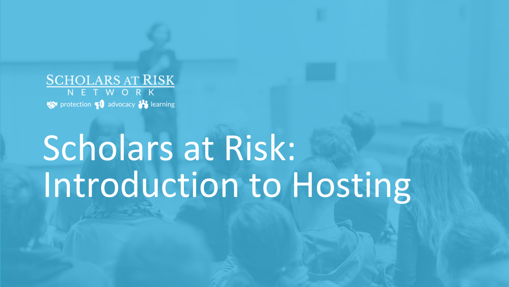**SCHOLARS AT RISK** NETWORK protection padvocacy to learning

# Scholars at Risk: Introduction to Hosting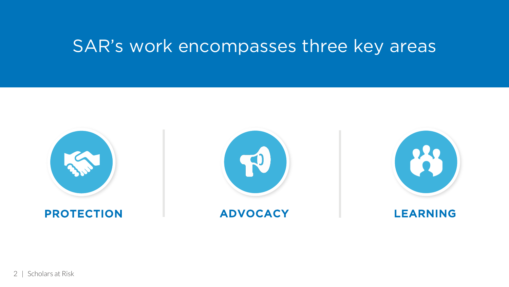# SAR's work encompasses three key areas

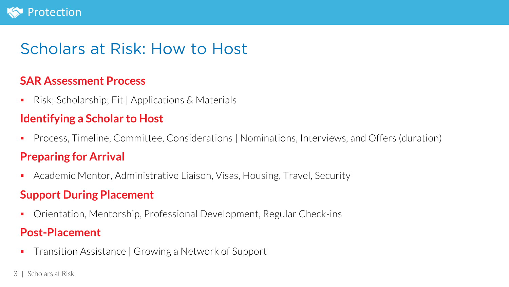

## Scholars at Risk: How to Host

#### **SAR Assessment Process**

§ Risk; Scholarship; Fit | Applications & Materials

#### **Identifying a Scholar to Host**

■ Process, Timeline, Committee, Considerations | Nominations, Interviews, and Offers (duration)

#### **Preparing for Arrival**

■ Academic Mentor, Administrative Liaison, Visas, Housing, Travel, Security

### **Support During Placement**

■ Orientation, Mentorship, Professional Development, Regular Check-ins

#### **Post-Placement**

- Transition Assistance | Growing a Network of Support
- 3 | Scholars at Risk